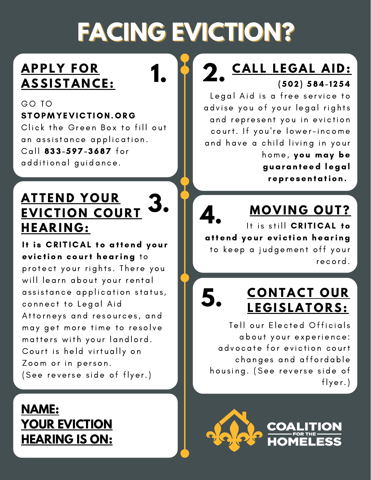# **FACING EVICTION?**

### **APPL Y F O R**  $ASSISTANCE:$

#### GO TO [STOPMYEVI](http://stopmyeviction.org/)CTION.ORG

Click the Green Box to fill out an assistance application. Call 833-597-3687 for additional guidance.

#### **ATTEND YOUR EVICTION COURT HEAR I N G : 3.**

It is CRITICAL to attend your eviction court hearing to protect your rights. There you will learn about your rental assistance application status, connect to Legal Aid Attorneys and resources, and may get more time to resolve matters with your landlord. Court is held virtually on Zoom or in person. (See reverse side of flyer.)

### **NAME: YOUR EVICTION HEARING IS ON:**

#### $(502) 584 - 1254$ **2. CALL LEGAL AID:** (502) 584-1254

Legal Aid is a free service to advise you of your legal rights and represent you in eviction court. If you're lower-income and have a child living in your home, you may be guaranteed legal representation.

# **MO VI N G O U T ?**

It is still CRITICAL to attend your eviction hearing to keep a judgement off your record. **4.**

**.**

# **<sup>C</sup> <sup>O</sup> <sup>N</sup> TACT <sup>O</sup> <sup>U</sup> <sup>R</sup> 5 <sup>L</sup> <sup>E</sup> <sup>G</sup> ISLAT <sup>O</sup> <sup>R</sup> S:**

Tell our Elected Officials about your experience: advocate for eviction court changes and affordable housing. (See reverse side of flyer.)